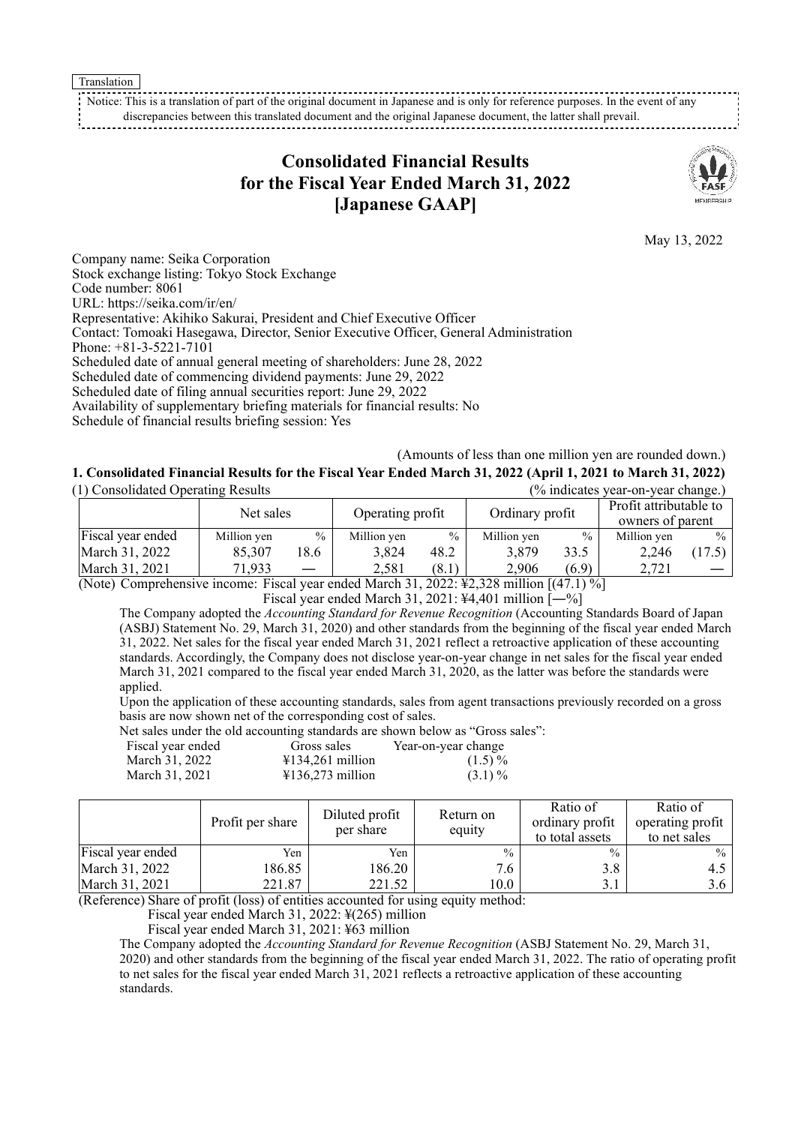Translation

Notice: This is a translation of part of the original document in Japanese and is only for reference purposes. In the event of any discrepancies between this translated document and the original Japanese document, the latter shall prevail.

# **Consolidated Financial Results for the Fiscal Year Ended March 31, 2022 [Japanese GAAP]**



May 13, 2022

Company name: Seika Corporation Stock exchange listing: Tokyo Stock Exchange Code number: 8061 URL: <https://seika.com/ir/en/> Representative: Akihiko Sakurai, President and Chief Executive Officer Contact: Tomoaki Hasegawa, Director, Senior Executive Officer, General Administration Phone: +81-3-5221-7101 Scheduled date of annual general meeting of shareholders: June 28, 2022 Scheduled date of commencing dividend payments: June 29, 2022 Scheduled date of filing annual securities report: June 29, 2022 Availability of supplementary briefing materials for financial results: No Schedule of financial results briefing session: Yes

(Amounts of less than one million yen are rounded down.) 1. Consolidated Financial Results for the Fiscal Year Ended March 31, 2022 (April 1, 2021 to March 31, 2022) (1) Consolidated Operating Results (% indicates year-on-year change.)

| (1) Consondated Operating Results                                                                                         |             |                          | r% indicates year-on-year change.) |               |                 |               |                                            |      |
|---------------------------------------------------------------------------------------------------------------------------|-------------|--------------------------|------------------------------------|---------------|-----------------|---------------|--------------------------------------------|------|
|                                                                                                                           | Net sales   |                          | Operating profit                   |               | Ordinary profit |               | Profit attributable to<br>owners of parent |      |
| Fiscal year ended                                                                                                         | Million yen | $\frac{0}{0}$            | Million yen                        | $\frac{0}{0}$ | Million yen     | $\frac{0}{0}$ | Million yen                                | $\%$ |
| March 31, 2022                                                                                                            | 85,307      | 18.6                     | 3.824                              | 48.2          | 3.879           | 33.5          | 2,246                                      | 17.5 |
| March 31, 2021                                                                                                            | 71,933      | $\overline{\phantom{0}}$ | 2.581                              | (8.1)         | 2.906           | (6.9)         | 2.721                                      |      |
| <br>÷-<br>$\Gamma$ / $\Lambda$ $\equiv$ 1 $\Lambda$ $\Lambda$ / $\Gamma$<br>$0.000 \times 10.000$<br>$\Delta$ T. $\Delta$ |             |                          |                                    |               |                 |               |                                            |      |

(Note) Comprehensive income: Fiscal year ended March 31, 2022: ¥2,328 million [(47.1) %]

Fiscal year ended March 31, 2021:  $\frac{1}{4}4.401$  million  $\left[-\% \right]$ 

The Company adopted the *Accounting Standard for Revenue Recognition* (Accounting Standards Board of Japan (ASBJ) Statement No. 29, March 31, 2020) and other standards from the beginning of the fiscal year ended March 31, 2022. Net sales for the fiscal year ended March 31, 2021 reflect a retroactive application of these accounting standards. Accordingly, the Company does not disclose year-on-year change in net sales for the fiscal year ended March 31, 2021 compared to the fiscal year ended March 31, 2020, as the latter was before the standards were applied.

Upon the application of these accounting standards, sales from agent transactions previously recorded on a gross basis are now shown net of the corresponding cost of sales.

Net sales under the old accounting standards are shown below as "Gross sales":

| Fiscal year ended | Gross sales                           | Year-on-year change |
|-------------------|---------------------------------------|---------------------|
| March 31, 2022    | $\text{\textsterling}134,261$ million | $(1.5)\%$           |
| March 31, 2021    | $\text{\textsterling}136.273$ million | $(3.1)\%$           |

|                   | Profit per share | Diluted profit<br>per share | Return on<br>equity | Ratio of<br>ordinary profit<br>to total assets | Ratio of<br>operating profit<br>to net sales |
|-------------------|------------------|-----------------------------|---------------------|------------------------------------------------|----------------------------------------------|
| Fiscal year ended | Yen              | Yen                         | $\frac{0}{0}$       | $\frac{0}{0}$                                  | $\%$                                         |
| March 31, 2022    | 186.85           | 186.20                      | 7.6                 | 3.8                                            | 4.5                                          |
| March 31, 2021    | 221.87           | 221.52                      | 10.0                | 3.1                                            | 3.6 I                                        |

(Reference) Share of profit (loss) of entities accounted for using equity method:

Fiscal year ended March 31, 2022: ¥(265) million

Fiscal year ended March 31, 2021: ¥63 million

The Company adopted the *Accounting Standard for Revenue Recognition* (ASBJ Statement No. 29, March 31, 2020) and other standards from the beginning of the fiscal year ended March 31, 2022. The ratio of operating profit to net sales for the fiscal year ended March 31, 2021 reflects a retroactive application of these accounting standards.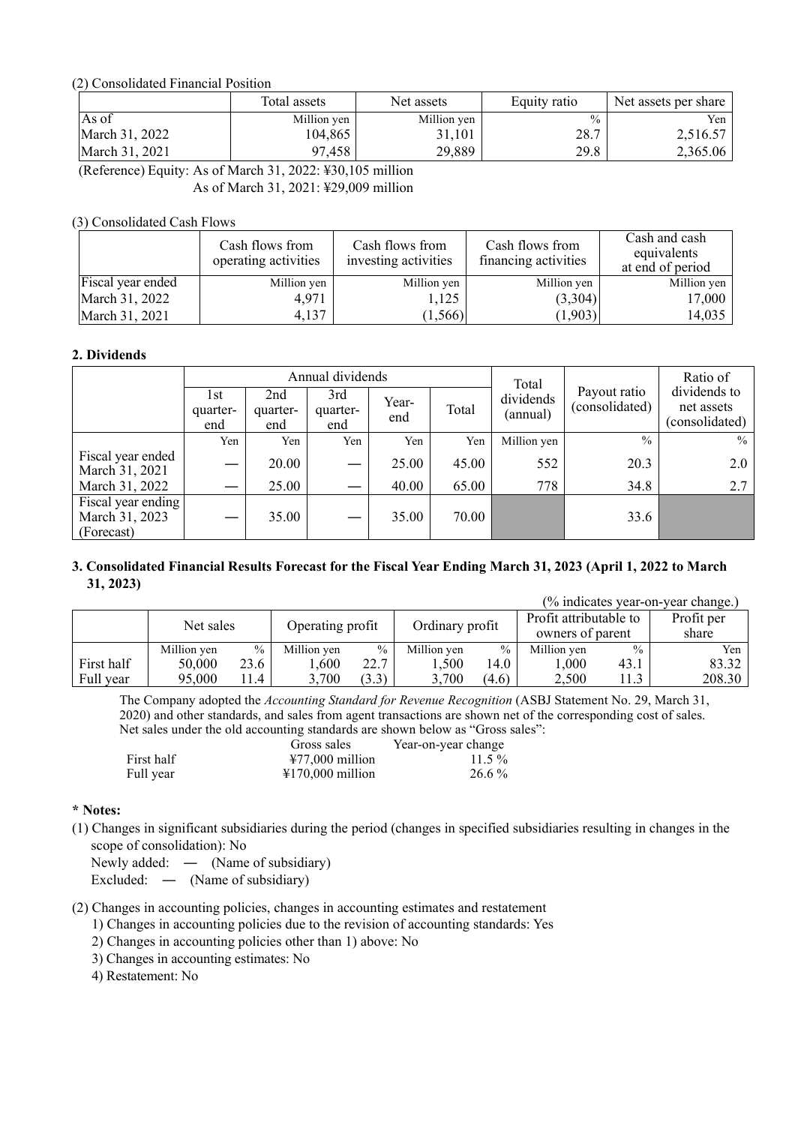#### (2) Consolidated Financial Position

|                | Total assets | Net assets  | Equity ratio  | Net assets per share |
|----------------|--------------|-------------|---------------|----------------------|
| As of          | Million yen  | Million yen | $\frac{0}{0}$ | Yen                  |
| March 31, 2022 | 104,865      | 31.101      | 28.7          | 2,516.57             |
| March 31, 2021 | 97,458       | 29,889      | 29.8          | 2,365.06             |

(Reference) Equity: As of March 31, 2022: ¥30,105 million

As of March 31, 2021: ¥29,009 million

### (3) Consolidated Cash Flows

|                   | Cash flows from<br>operating activities | Cash flows from<br>investing activities | Cash flows from<br>financing activities | Cash and cash<br>equivalents<br>at end of period |
|-------------------|-----------------------------------------|-----------------------------------------|-----------------------------------------|--------------------------------------------------|
| Fiscal year ended | Million yen                             | Million yen                             | Million yen                             | Million yen                                      |
| March 31, 2022    | 4,971                                   | 1,125                                   | (3,304)                                 | 17,000                                           |
| March 31, 2021    | 4,137                                   | (1, 566)                                | (1,903)                                 | 14,035                                           |

#### **2. Dividends**

|                                                    |                         |                        | Annual dividends       |              |       | Total                 |                                | Ratio of                                     |
|----------------------------------------------------|-------------------------|------------------------|------------------------|--------------|-------|-----------------------|--------------------------------|----------------------------------------------|
|                                                    | l st<br>quarter-<br>end | 2nd<br>quarter-<br>end | 3rd<br>quarter-<br>end | Year-<br>end | Total | dividends<br>(annual) | Payout ratio<br>(consolidated) | dividends to<br>net assets<br>(consolidated) |
|                                                    | Yen                     | Yen                    | Yen                    | Yen          | Yen   | Million yen           | $\frac{0}{0}$                  | $\frac{0}{0}$                                |
| Fiscal year ended<br>March 31, 2021                |                         | 20.00                  |                        | 25.00        | 45.00 | 552                   | 20.3                           | 2.0                                          |
| March 31, 2022                                     |                         | 25.00                  |                        | 40.00        | 65.00 | 778                   | 34.8                           | 2.7                                          |
| Fiscal year ending<br>March 31, 2023<br>(Forecast) |                         | 35.00                  |                        | 35.00        | 70.00 |                       | 33.6                           |                                              |

#### 3. Consolidated Financial Results Forecast for the Fiscal Year Ending March 31, 2023 (April 1, 2022 to March **31, 2023)**  $(0/2\pi\cdot\frac{1}{2})$

|            |             |               |                  |       |                 |               |                                            |               | r% indicates vear-on-vear change.) |
|------------|-------------|---------------|------------------|-------|-----------------|---------------|--------------------------------------------|---------------|------------------------------------|
|            | Net sales   |               | Operating profit |       | Ordinary profit |               | Profit attributable to<br>owners of parent |               | Profit per<br>share                |
|            | Million yen | $\frac{0}{0}$ | Million yen      | $\%$  | Million yen     | $\frac{0}{0}$ | Million yen                                | $\frac{0}{0}$ | Yen                                |
| First half | 50,000      | 23.6          | 0.600            | 22.7  | .500            | 14.0          | $000$ .                                    | 43.1          | 83.32                              |
| Full year  | 95,000      | 1.4           | 3,700            | (3.3) | 3,700           | (4.6)         | 2,500                                      | 11.3          | 208.30                             |

The Company adopted the *Accounting Standard for Revenue Recognition* (ASBJ Statement No. 29, March 31, 2020) and other standards, and sales from agent transactions are shown net of the corresponding cost of sales. Net sales under the old accounting standards are shown below as "Gross sales":

|            | Gross sales                | Year-on-year change |
|------------|----------------------------|---------------------|
| First half | $\text{\#}77,000$ million  | $11.5\%$            |
| Full year  | $\text{\#170,000}$ million | 26.6 %              |

#### **\* Notes:**

(1) Changes in significant subsidiaries during the period (changes in specified subsidiaries resulting in changes in the scope of consolidation): No

Newly added: — (Name of subsidiary)

Excluded: ― (Name of subsidiary)

- (2) Changes in accounting policies, changes in accounting estimates and restatement
	- 1) Changes in accounting policies due to the revision of accounting standards: Yes
	- 2) Changes in accounting policies other than 1) above: No
	- 3) Changes in accounting estimates: No

4) Restatement: No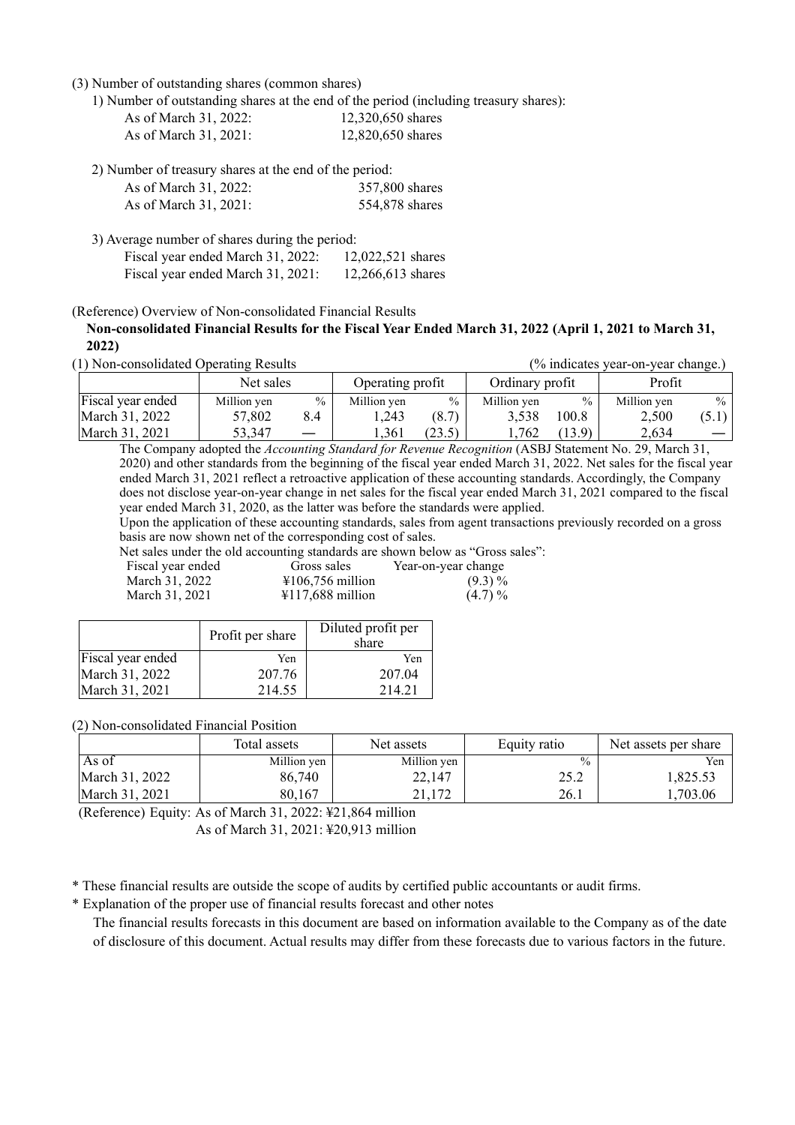(3) Number of outstanding shares (common shares)

1) Number of outstanding shares at the end of the period (including treasury shares):

| As of March 31, 2022: | 12,320,650 shares |
|-----------------------|-------------------|
| As of March 31, 2021: | 12,820,650 shares |

2) Number of treasury shares at the end of the period:

| As of March 31, 2022: | 357,800 shares |
|-----------------------|----------------|
| As of March 31, 2021: | 554,878 shares |

3) Average number of shares during the period: Fiscal year ended March 31, 2022: 12,022,521 shares Fiscal year ended March 31, 2021: 12,266,613 shares

(Reference) Overview of Non-consolidated Financial Results

**Non-consolidated Financial Results for the Fiscal Year Ended March 31, 2022 (April 1, 2021 to March 31, 2022)**

(1) Non-consolidated Operating Results (% indicates year-on-year change.)

|                   | Net sales   |               | Operating profit |               | Ordinary profit |               | Profit      |       |
|-------------------|-------------|---------------|------------------|---------------|-----------------|---------------|-------------|-------|
| Fiscal year ended | Million yen | $\frac{0}{0}$ | Million yen      | $\frac{0}{0}$ | Million ven     | $\frac{0}{0}$ | Million yen | $\%$  |
| March 31, 2022    | 57,802      | 8.4           | .243             | (8.7)         | 3,538           | 100.8         | 2,500       | (5.1) |
| March 31, 2021    | 53,347      |               | 1.361            | (23.5)        | .762            | (13.9)        | 2,634       |       |

The Company adopted the *Accounting Standard for Revenue Recognition* (ASBJ Statement No. 29, March 31, 2020) and other standards from the beginning of the fiscal year ended March 31, 2022. Net sales for the fiscal year ended March 31, 2021 reflect a retroactive application of these accounting standards. Accordingly, the Company does not disclose year-on-year change in net sales for the fiscal year ended March 31, 2021 compared to the fiscal year ended March 31, 2020, as the latter was before the standards were applied.

Upon the application of these accounting standards, sales from agent transactions previously recorded on a gross basis are now shown net of the corresponding cost of sales.

Net sales under the old accounting standards are shown below as "Gross sales":

| Fiscal year ended | Gross sales                           | Year-on-year change |
|-------------------|---------------------------------------|---------------------|
| March 31, 2022    | $\text{\textsterling}106,756$ million | $(9.3)\%$           |
| March 31, 2021    | $\text{\textsterling}117,688$ million | (4.7)%              |

|                   | Profit per share | Diluted profit per<br>share |
|-------------------|------------------|-----------------------------|
| Fiscal year ended | Yen              | Yen                         |
| March 31, 2022    | 207.76           | 207.04                      |
| March 31, 2021    | 214.55           | 214.21                      |

(2) Non-consolidated Financial Position

|                | Total assets | Net assets  | Equity ratio  | Net assets per share |
|----------------|--------------|-------------|---------------|----------------------|
| As of          | Million yen  | Million yen | $\frac{0}{0}$ | Yen                  |
| March 31, 2022 | 86,740       | 22,147      | 25.2          | 1.825.53             |
| March 31, 2021 | 80,167       | 21,172      | 26.1          | ,703.06              |

(Reference) Equity: As of March 31, 2022: ¥21,864 million

As of March 31, 2021: ¥20,913 million

\* These financial results are outside the scope of audits by certified public accountants or audit firms.

\* Explanation of the proper use of financial results forecast and other notes

The financial results forecasts in this document are based on information available to the Company as of the date of disclosure of this document. Actual results may differ from these forecasts due to various factors in the future.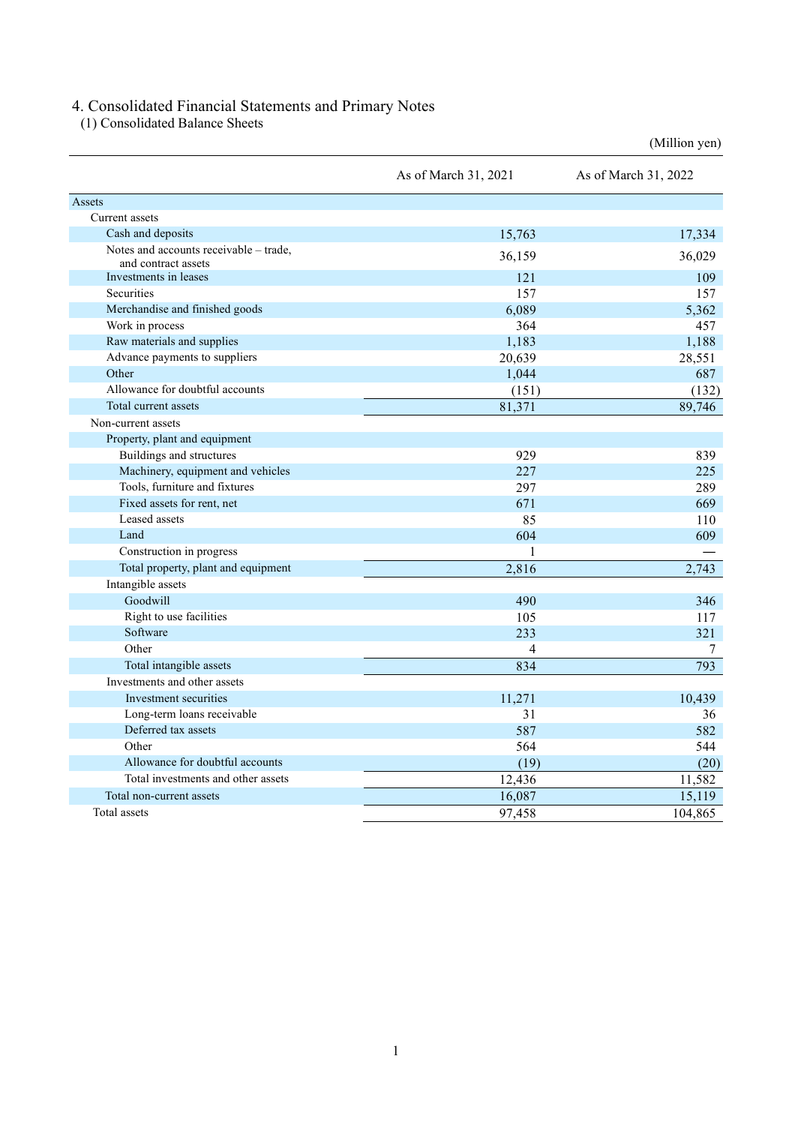#### 4. Consolidated Financial Statements and Primary Notes

(1) Consolidated Balance Sheets

|                                                               |                      | (Million yen)        |
|---------------------------------------------------------------|----------------------|----------------------|
|                                                               | As of March 31, 2021 | As of March 31, 2022 |
| Assets                                                        |                      |                      |
| Current assets                                                |                      |                      |
| Cash and deposits                                             | 15,763               | 17,334               |
| Notes and accounts receivable - trade,<br>and contract assets | 36,159               | 36,029               |
| Investments in leases                                         | 121                  | 109                  |
| Securities                                                    | 157                  | 157                  |
| Merchandise and finished goods                                | 6,089                | 5,362                |
| Work in process                                               | 364                  | 457                  |
| Raw materials and supplies                                    | 1,183                | 1,188                |
| Advance payments to suppliers                                 | 20,639               | 28,551               |
| Other                                                         | 1,044                | 687                  |
| Allowance for doubtful accounts                               | (151)                | (132)                |
| Total current assets                                          | 81,371               | 89,746               |
| Non-current assets                                            |                      |                      |
| Property, plant and equipment                                 |                      |                      |
| Buildings and structures                                      | 929                  | 839                  |
| Machinery, equipment and vehicles                             | 227                  | 225                  |
| Tools, furniture and fixtures                                 | 297                  | 289                  |
| Fixed assets for rent, net                                    | 671                  | 669                  |
| Leased assets                                                 | 85                   | 110                  |
| Land                                                          | 604                  | 609                  |
| Construction in progress                                      | 1                    |                      |
| Total property, plant and equipment                           | 2,816                | 2,743                |
| Intangible assets                                             |                      |                      |
| Goodwill                                                      | 490                  | 346                  |
| Right to use facilities                                       | 105                  | 117                  |
| Software                                                      | 233                  | 321                  |
| Other                                                         | 4                    | 7                    |
| Total intangible assets                                       | 834                  | 793                  |
| Investments and other assets                                  |                      |                      |
| Investment securities                                         | 11,271               | 10,439               |
| Long-term loans receivable                                    | 31                   | 36                   |
| Deferred tax assets                                           | 587                  | 582                  |
| Other                                                         | 564                  | 544                  |
| Allowance for doubtful accounts                               | (19)                 | (20)                 |
| Total investments and other assets                            | 12,436               | 11,582               |
| Total non-current assets                                      | 16,087               | 15,119               |
| Total assets                                                  | 97,458               | 104,865              |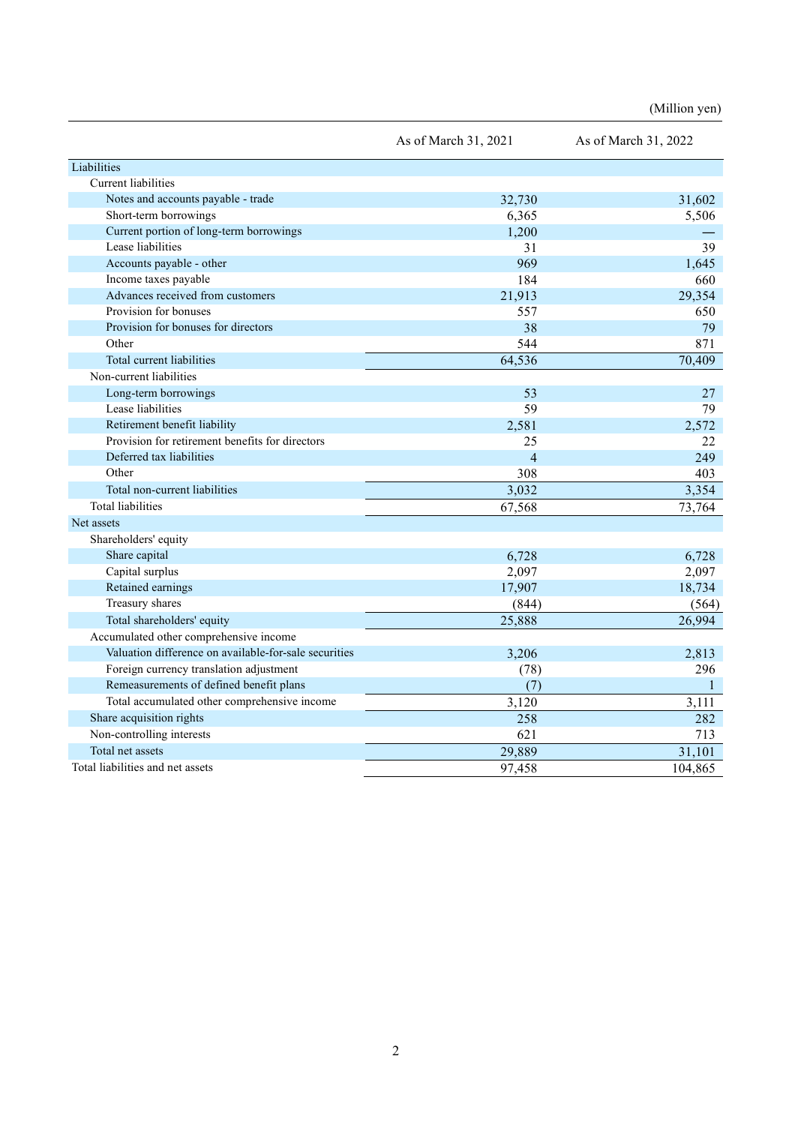(Million yen)

|                                                       | As of March 31, 2021 | As of March 31, 2022 |
|-------------------------------------------------------|----------------------|----------------------|
| Liabilities                                           |                      |                      |
| Current liabilities                                   |                      |                      |
| Notes and accounts payable - trade                    | 32,730               | 31,602               |
| Short-term borrowings                                 | 6,365                | 5,506                |
| Current portion of long-term borrowings               | 1,200                |                      |
| Lease liabilities                                     | 31                   | 39                   |
| Accounts payable - other                              | 969                  | 1,645                |
| Income taxes payable                                  | 184                  | 660                  |
| Advances received from customers                      | 21,913               | 29,354               |
| Provision for bonuses                                 | 557                  | 650                  |
| Provision for bonuses for directors                   | 38                   | 79                   |
| Other                                                 | 544                  | 871                  |
| Total current liabilities                             | 64,536               | 70,409               |
| Non-current liabilities                               |                      |                      |
| Long-term borrowings                                  | 53                   | 27                   |
| Lease liabilities                                     | 59                   | 79                   |
| Retirement benefit liability                          | 2,581                | 2,572                |
| Provision for retirement benefits for directors       | 25                   | 22                   |
| Deferred tax liabilities                              | $\overline{4}$       | 249                  |
| Other                                                 | 308                  | 403                  |
| Total non-current liabilities                         | 3,032                | 3,354                |
| <b>Total liabilities</b>                              | 67,568               | 73,764               |
| Net assets                                            |                      |                      |
| Shareholders' equity                                  |                      |                      |
| Share capital                                         | 6,728                | 6,728                |
| Capital surplus                                       | 2,097                | 2,097                |
| Retained earnings                                     | 17,907               | 18,734               |
| Treasury shares                                       | (844)                | (564)                |
| Total shareholders' equity                            | 25,888               | 26,994               |
| Accumulated other comprehensive income                |                      |                      |
| Valuation difference on available-for-sale securities | 3,206                | 2,813                |
| Foreign currency translation adjustment               | (78)                 | 296                  |
| Remeasurements of defined benefit plans               | (7)                  | $\mathbf{1}$         |
| Total accumulated other comprehensive income          | 3,120                | 3,111                |
| Share acquisition rights                              | 258                  | 282                  |
| Non-controlling interests                             | 621                  | 713                  |
| Total net assets                                      | 29,889               | 31,101               |
| Total liabilities and net assets                      | 97,458               | 104,865              |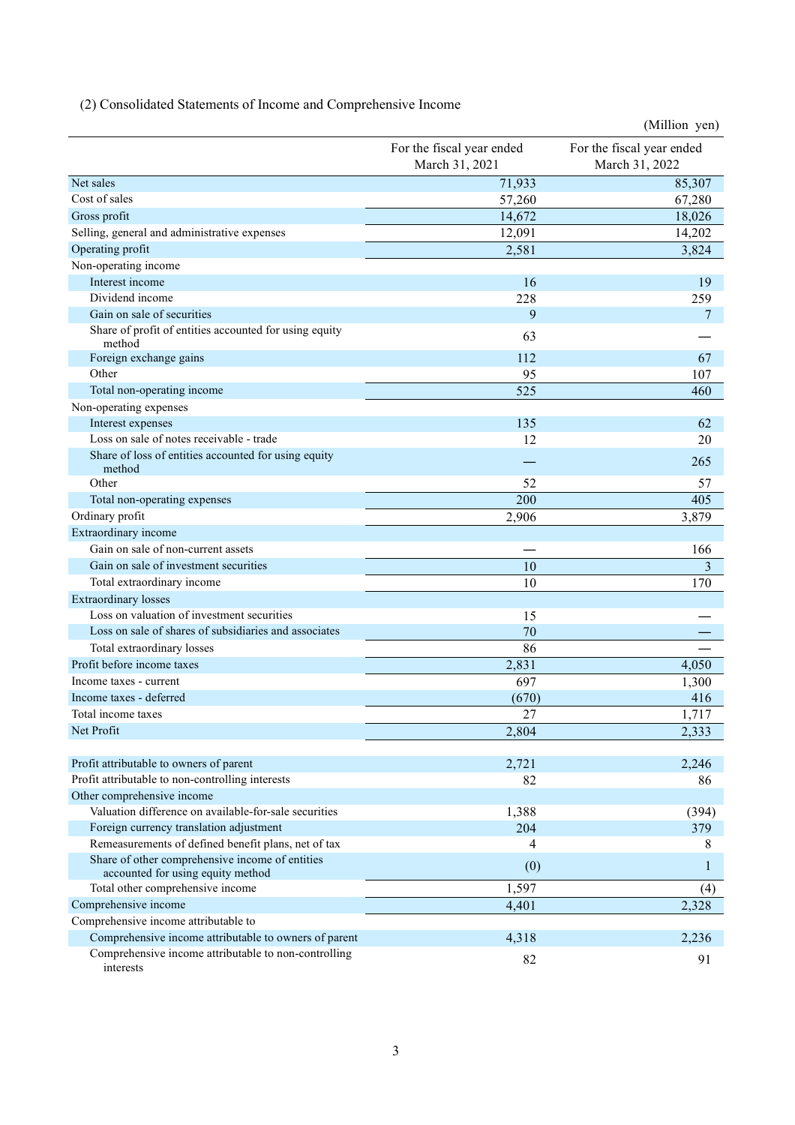(2) Consolidated Statements of Income and Comprehensive Income

|                                                                   |                                             | (Million yen)                               |
|-------------------------------------------------------------------|---------------------------------------------|---------------------------------------------|
|                                                                   | For the fiscal year ended<br>March 31, 2021 | For the fiscal year ended<br>March 31, 2022 |
| Net sales                                                         | 71,933                                      | 85,307                                      |
| Cost of sales                                                     | 57,260                                      | 67,280                                      |
| Gross profit                                                      | 14,672                                      | 18,026                                      |
| Selling, general and administrative expenses                      | 12,091                                      | 14,202                                      |
| Operating profit                                                  | 2,581                                       | 3,824                                       |
| Non-operating income                                              |                                             |                                             |
| Interest income                                                   | 16                                          | 19                                          |
| Dividend income                                                   | 228                                         | 259                                         |
| Gain on sale of securities                                        | 9                                           | 7                                           |
| Share of profit of entities accounted for using equity<br>method  | 63                                          |                                             |
| Foreign exchange gains                                            | 112                                         | 67                                          |
| Other                                                             | 95                                          | 107                                         |
| Total non-operating income                                        | 525                                         | 460                                         |
| Non-operating expenses                                            |                                             |                                             |
| Interest expenses                                                 | 135                                         | 62                                          |
| Loss on sale of notes receivable - trade                          | 12                                          | 20                                          |
| Share of loss of entities accounted for using equity<br>method    |                                             | 265                                         |
| Other                                                             | 52                                          | 57                                          |
| Total non-operating expenses                                      | 200                                         | 405                                         |
| Ordinary profit                                                   | 2,906                                       | 3,879                                       |
| Extraordinary income                                              |                                             |                                             |
| Gain on sale of non-current assets                                |                                             | 166                                         |
| Gain on sale of investment securities                             | 10                                          | 3                                           |
| Total extraordinary income                                        | 10                                          | 170                                         |
| <b>Extraordinary losses</b>                                       |                                             |                                             |
| Loss on valuation of investment securities                        | 15                                          |                                             |
| Loss on sale of shares of subsidiaries and associates             | 70                                          |                                             |
| Total extraordinary losses                                        | 86                                          |                                             |
| Profit before income taxes                                        | 2,831                                       | 4,050                                       |
| Income taxes - current                                            | 697                                         | 1,300                                       |
| Income taxes - deferred                                           | (670)                                       | 416                                         |
| Total income taxes                                                | 27                                          | 1,717                                       |
| Net Profit                                                        | 2,804                                       | 2,333                                       |
|                                                                   |                                             |                                             |
| Profit attributable to owners of parent                           | 2,721                                       | 2,246                                       |
| Profit attributable to non-controlling interests                  | 82                                          | 86                                          |
| Other comprehensive income                                        |                                             |                                             |
| Valuation difference on available-for-sale securities             | 1,388                                       | (394)                                       |
| Foreign currency translation adjustment                           | 204                                         | 379                                         |
| Remeasurements of defined benefit plans, net of tax               | 4                                           | 8                                           |
| Share of other comprehensive income of entities                   | (0)                                         | 1                                           |
| accounted for using equity method                                 |                                             |                                             |
| Total other comprehensive income                                  | 1,597                                       | (4)                                         |
| Comprehensive income                                              | 4,401                                       | 2,328                                       |
| Comprehensive income attributable to                              |                                             |                                             |
| Comprehensive income attributable to owners of parent             | 4,318                                       | 2,236                                       |
| Comprehensive income attributable to non-controlling<br>interests | 82                                          | 91                                          |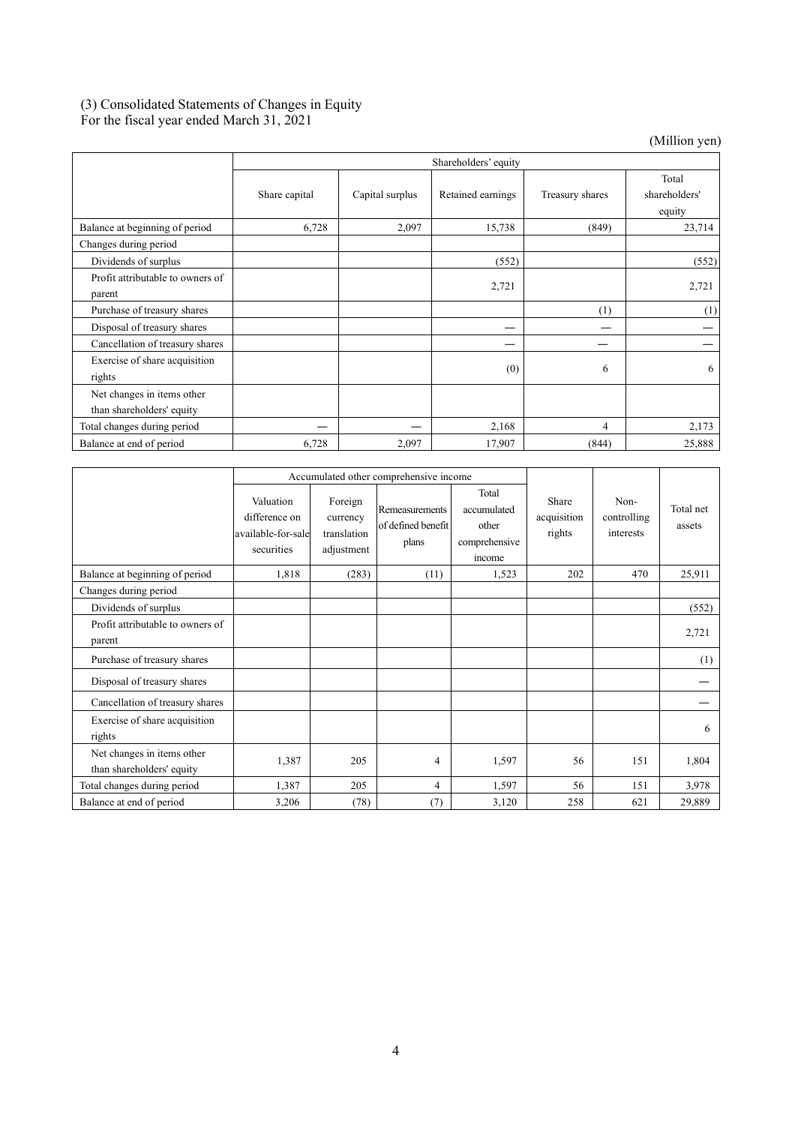## (3) Consolidated Statements of Changes in Equity

For the fiscal year ended March 31, 2021

(Million yen)

|                                  | Shareholders' equity |                 |                   |                 |               |  |
|----------------------------------|----------------------|-----------------|-------------------|-----------------|---------------|--|
|                                  |                      |                 |                   |                 | Total         |  |
|                                  | Share capital        | Capital surplus | Retained earnings | Treasury shares | shareholders' |  |
|                                  |                      |                 |                   |                 | equity        |  |
| Balance at beginning of period   | 6,728                | 2,097           | 15,738            | (849)           | 23,714        |  |
| Changes during period            |                      |                 |                   |                 |               |  |
| Dividends of surplus             |                      |                 | (552)             |                 | (552)         |  |
| Profit attributable to owners of |                      |                 | 2,721             |                 | 2,721         |  |
| parent                           |                      |                 |                   |                 |               |  |
| Purchase of treasury shares      |                      |                 |                   | (1)             | (1)           |  |
| Disposal of treasury shares      |                      |                 |                   |                 |               |  |
| Cancellation of treasury shares  |                      |                 |                   |                 |               |  |
| Exercise of share acquisition    |                      |                 |                   |                 |               |  |
| rights                           |                      |                 | (0)               | 6               | 6             |  |
| Net changes in items other       |                      |                 |                   |                 |               |  |
| than shareholders' equity        |                      |                 |                   |                 |               |  |
| Total changes during period      |                      |                 | 2,168             | 4               | 2,173         |  |
| Balance at end of period         | 6,728                | 2,097           | 17,907            | (844)           | 25,888        |  |

|                                                         |                                                                | Accumulated other comprehensive income           |                                               |                                                          |                                |                                  |                     |
|---------------------------------------------------------|----------------------------------------------------------------|--------------------------------------------------|-----------------------------------------------|----------------------------------------------------------|--------------------------------|----------------------------------|---------------------|
|                                                         | Valuation<br>difference on<br>available-for-sale<br>securities | Foreign<br>currency<br>translation<br>adjustment | Remeasurements<br>of defined benefit<br>plans | Total<br>accumulated<br>other<br>comprehensive<br>income | Share<br>acquisition<br>rights | Non-<br>controlling<br>interests | Total net<br>assets |
| Balance at beginning of period                          | 1,818                                                          | (283)                                            | (11)                                          | 1,523                                                    | 202                            | 470                              | 25,911              |
| Changes during period                                   |                                                                |                                                  |                                               |                                                          |                                |                                  |                     |
| Dividends of surplus                                    |                                                                |                                                  |                                               |                                                          |                                |                                  | (552)               |
| Profit attributable to owners of<br>parent              |                                                                |                                                  |                                               |                                                          |                                |                                  | 2,721               |
| Purchase of treasury shares                             |                                                                |                                                  |                                               |                                                          |                                |                                  | (1)                 |
| Disposal of treasury shares                             |                                                                |                                                  |                                               |                                                          |                                |                                  |                     |
| Cancellation of treasury shares                         |                                                                |                                                  |                                               |                                                          |                                |                                  |                     |
| Exercise of share acquisition<br>rights                 |                                                                |                                                  |                                               |                                                          |                                |                                  | 6                   |
| Net changes in items other<br>than shareholders' equity | 1,387                                                          | 205                                              | 4                                             | 1,597                                                    | 56                             | 151                              | 1,804               |
| Total changes during period                             | 1,387                                                          | 205                                              | 4                                             | 1,597                                                    | 56                             | 151                              | 3,978               |
| Balance at end of period                                | 3,206                                                          | (78)                                             | (7)                                           | 3,120                                                    | 258                            | 621                              | 29,889              |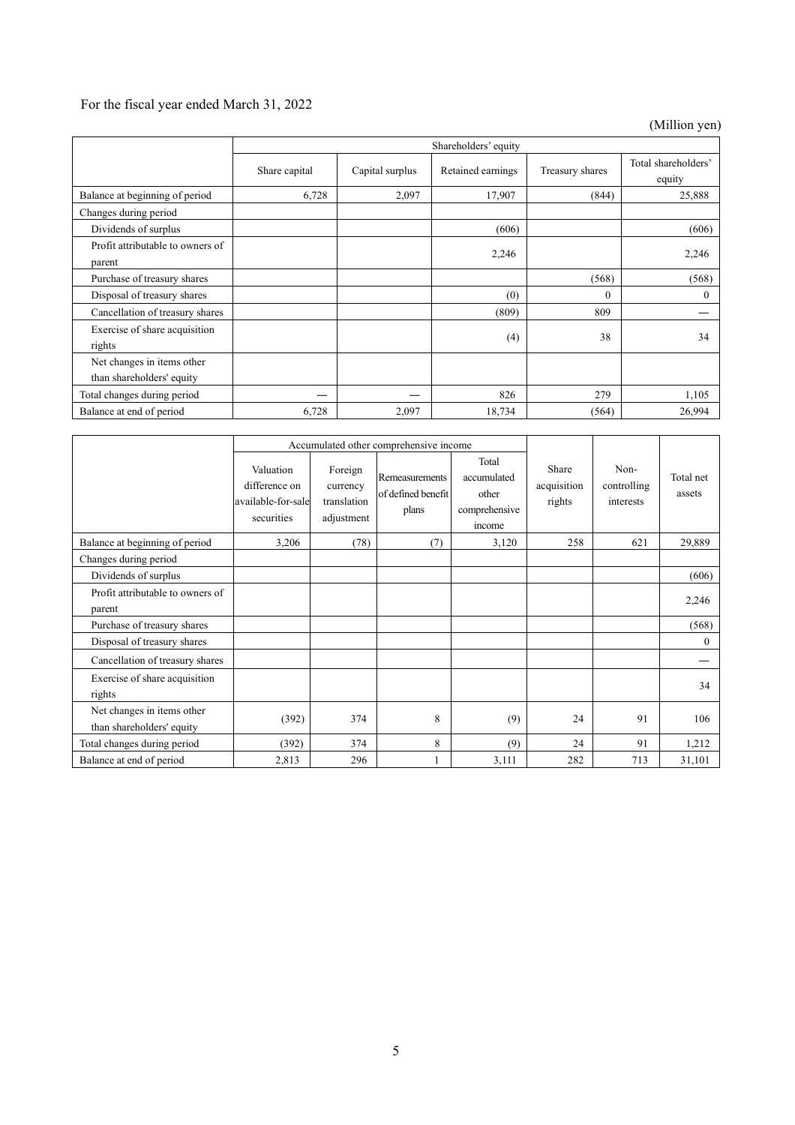# For the fiscal year ended March 31, 2022

(Million yen)

|                                                         | Shareholders' equity |                 |                   |                 |                               |  |
|---------------------------------------------------------|----------------------|-----------------|-------------------|-----------------|-------------------------------|--|
|                                                         | Share capital        | Capital surplus | Retained earnings | Treasury shares | Total shareholders'<br>equity |  |
| Balance at beginning of period                          | 6,728                | 2,097           | 17,907            | (844)           | 25,888                        |  |
| Changes during period                                   |                      |                 |                   |                 |                               |  |
| Dividends of surplus                                    |                      |                 | (606)             |                 | (606)                         |  |
| Profit attributable to owners of<br>parent              |                      |                 | 2,246             |                 | 2,246                         |  |
| Purchase of treasury shares                             |                      |                 |                   | (568)           | (568)                         |  |
| Disposal of treasury shares                             |                      |                 | (0)               | $\overline{0}$  | 0                             |  |
| Cancellation of treasury shares                         |                      |                 | (809)             | 809             |                               |  |
| Exercise of share acquisition<br>rights                 |                      |                 | (4)               | 38              | 34                            |  |
| Net changes in items other<br>than shareholders' equity |                      |                 |                   |                 |                               |  |
| Total changes during period                             |                      |                 | 826               | 279             | 1,105                         |  |
| Balance at end of period                                | 6,728                | 2,097           | 18,734            | (564)           | 26,994                        |  |

|                                                         | Accumulated other comprehensive income                         |                                                  |                                               |                                                          |                                |                                  |                     |
|---------------------------------------------------------|----------------------------------------------------------------|--------------------------------------------------|-----------------------------------------------|----------------------------------------------------------|--------------------------------|----------------------------------|---------------------|
|                                                         | Valuation<br>difference on<br>available-for-sale<br>securities | Foreign<br>currency<br>translation<br>adjustment | Remeasurements<br>of defined benefit<br>plans | Total<br>accumulated<br>other<br>comprehensive<br>income | Share<br>acquisition<br>rights | Non-<br>controlling<br>interests | Total net<br>assets |
| Balance at beginning of period                          | 3,206                                                          | (78)                                             | (7)                                           | 3,120                                                    | 258                            | 621                              | 29,889              |
| Changes during period                                   |                                                                |                                                  |                                               |                                                          |                                |                                  |                     |
| Dividends of surplus                                    |                                                                |                                                  |                                               |                                                          |                                |                                  | (606)               |
| Profit attributable to owners of<br>parent              |                                                                |                                                  |                                               |                                                          |                                |                                  | 2,246               |
| Purchase of treasury shares                             |                                                                |                                                  |                                               |                                                          |                                |                                  | (568)               |
| Disposal of treasury shares                             |                                                                |                                                  |                                               |                                                          |                                |                                  | $\theta$            |
| Cancellation of treasury shares                         |                                                                |                                                  |                                               |                                                          |                                |                                  |                     |
| Exercise of share acquisition<br>rights                 |                                                                |                                                  |                                               |                                                          |                                |                                  | 34                  |
| Net changes in items other<br>than shareholders' equity | (392)                                                          | 374                                              | 8                                             | (9)                                                      | 24                             | 91                               | 106                 |
| Total changes during period                             | (392)                                                          | 374                                              | 8                                             | (9)                                                      | 24                             | 91                               | 1,212               |
| Balance at end of period                                | 2,813                                                          | 296                                              |                                               | 3,111                                                    | 282                            | 713                              | 31,101              |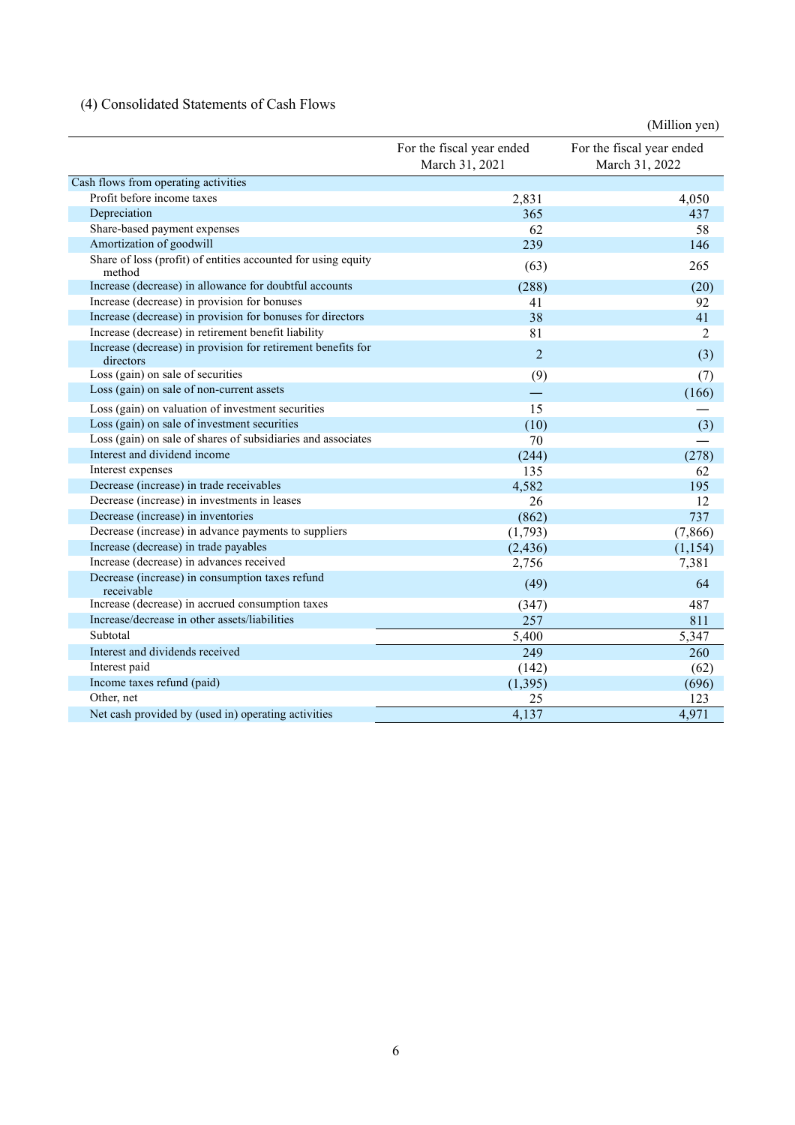## (4) Consolidated Statements of Cash Flows

|                                                                           |                                             | (Million yen)                               |
|---------------------------------------------------------------------------|---------------------------------------------|---------------------------------------------|
|                                                                           | For the fiscal year ended<br>March 31, 2021 | For the fiscal year ended<br>March 31, 2022 |
| Cash flows from operating activities                                      |                                             |                                             |
| Profit before income taxes                                                | 2,831                                       | 4,050                                       |
| Depreciation                                                              | 365                                         | 437                                         |
| Share-based payment expenses                                              | 62                                          | 58                                          |
| Amortization of goodwill                                                  | 239                                         | 146                                         |
| Share of loss (profit) of entities accounted for using equity<br>method   | (63)                                        | 265                                         |
| Increase (decrease) in allowance for doubtful accounts                    | (288)                                       | (20)                                        |
| Increase (decrease) in provision for bonuses                              | 41                                          | 92                                          |
| Increase (decrease) in provision for bonuses for directors                | 38                                          | 41                                          |
| Increase (decrease) in retirement benefit liability                       | 81                                          | 2                                           |
| Increase (decrease) in provision for retirement benefits for<br>directors | $\overline{2}$                              | (3)                                         |
| Loss (gain) on sale of securities                                         | (9)                                         | (7)                                         |
| Loss (gain) on sale of non-current assets                                 |                                             | (166)                                       |
| Loss (gain) on valuation of investment securities                         | 15                                          |                                             |
| Loss (gain) on sale of investment securities                              | (10)                                        | (3)                                         |
| Loss (gain) on sale of shares of subsidiaries and associates              | 70                                          |                                             |
| Interest and dividend income                                              | (244)                                       | (278)                                       |
| Interest expenses                                                         | 135                                         | 62                                          |
| Decrease (increase) in trade receivables                                  | 4,582                                       | 195                                         |
| Decrease (increase) in investments in leases                              | 26                                          | 12                                          |
| Decrease (increase) in inventories                                        | (862)                                       | 737                                         |
| Decrease (increase) in advance payments to suppliers                      | (1,793)                                     | (7,866)                                     |
| Increase (decrease) in trade payables                                     | (2, 436)                                    | (1, 154)                                    |
| Increase (decrease) in advances received                                  | 2,756                                       | 7,381                                       |
| Decrease (increase) in consumption taxes refund<br>receivable             | (49)                                        | 64                                          |
| Increase (decrease) in accrued consumption taxes                          | (347)                                       | 487                                         |
| Increase/decrease in other assets/liabilities                             | 257                                         | 811                                         |
| Subtotal                                                                  | 5,400                                       | 5,347                                       |
| Interest and dividends received                                           | 249                                         | 260                                         |
| Interest paid                                                             | (142)                                       | (62)                                        |
| Income taxes refund (paid)                                                | (1, 395)                                    | (696)                                       |
| Other, net                                                                | 25                                          | 123                                         |
| Net cash provided by (used in) operating activities                       | 4,137                                       | 4,971                                       |